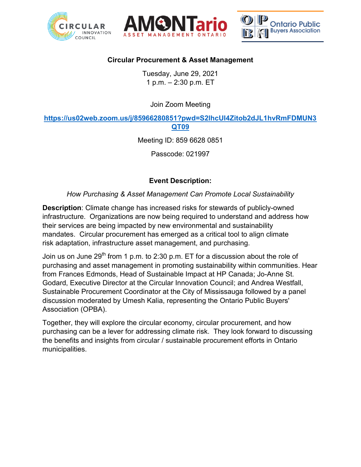





## **Circular Procurement & Asset Management**

Tuesday, June 29, 2021 1 p.m. – 2:30 p.m. ET

Join Zoom Meeting

**[https://us02web.zoom.us/j/85966280851?pwd=S2lhcUI4Zitob2dJL1hvRmFDMUN3](https://us02web.zoom.us/j/85966280851?pwd=S2lhcUI4Zitob2dJL1hvRmFDMUN3QT09) [QT09](https://us02web.zoom.us/j/85966280851?pwd=S2lhcUI4Zitob2dJL1hvRmFDMUN3QT09)**

Meeting ID: 859 6628 0851

Passcode: 021997

## **Event Description:**

*How Purchasing & Asset Management Can Promote Local Sustainability*

**Description**: Climate change has increased risks for stewards of publicly-owned infrastructure. Organizations are now being required to understand and address how their services are being impacted by new environmental and sustainability mandates. Circular procurement has emerged as a critical tool to align climate risk adaptation, infrastructure asset management, and purchasing.

Join us on June 29<sup>th</sup> from 1 p.m. to 2:30 p.m. ET for a discussion about the role of purchasing and asset management in promoting sustainability within communities. Hear from Frances Edmonds, Head of Sustainable Impact at HP Canada; Jo-Anne St. Godard, Executive Director at the Circular Innovation Council; and Andrea Westfall, Sustainable Procurement Coordinator at the City of Mississauga followed by a panel discussion moderated by Umesh Kalia, representing the Ontario Public Buyers' Association (OPBA).

Together, they will explore the circular economy, circular procurement, and how purchasing can be a lever for addressing climate risk. They look forward to discussing the benefits and insights from circular / sustainable procurement efforts in Ontario municipalities.